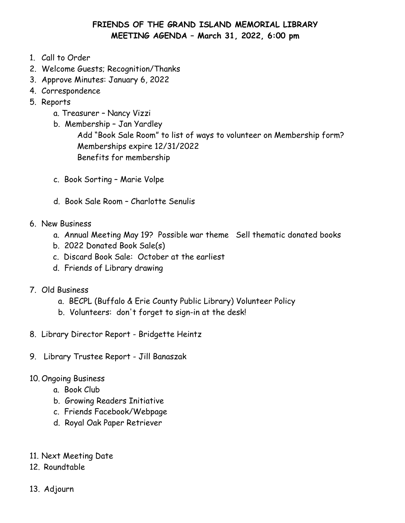# **FRIENDS OF THE GRAND ISLAND MEMORIAL LIBRARY MEETING AGENDA – March 31, 2022, 6:00 pm**

- 1. Call to Order
- 2. Welcome Guests; Recognition/Thanks
- 3. Approve Minutes: January 6, 2022
- 4. Correspondence
- 5. Reports
	- a. Treasurer Nancy Vizzi
	- b. Membership Jan Yardley Add "Book Sale Room" to list of ways to volunteer on Membership form? Memberships expire 12/31/2022 Benefits for membership
	- c. Book Sorting Marie Volpe
	- d. Book Sale Room Charlotte Senulis
- 6. New Business
	- a. Annual Meeting May 19? Possible war theme Sell thematic donated books
	- b. 2022 Donated Book Sale(s)
	- c. Discard Book Sale: October at the earliest
	- d. Friends of Library drawing
- 7. Old Business
	- a. BECPL (Buffalo & Erie County Public Library) Volunteer Policy
	- b. Volunteers: don't forget to sign-in at the desk!
- 8. Library Director Report Bridgette Heintz
- 9. Library Trustee Report Jill Banaszak
- 10. Ongoing Business
	- a. Book Club
	- b. Growing Readers Initiative
	- c. Friends Facebook/Webpage
	- d. Royal Oak Paper Retriever
- 11. Next Meeting Date
- 12. Roundtable
- 13. Adjourn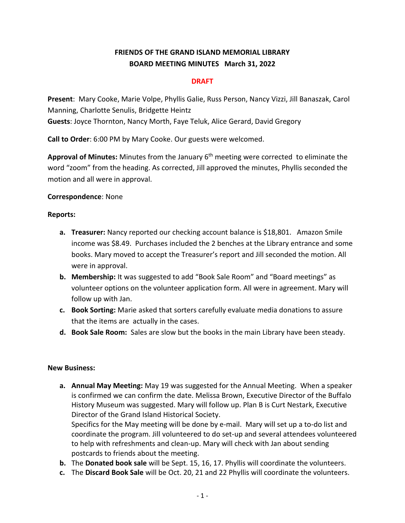## **FRIENDS OF THE GRAND ISLAND MEMORIAL LIBRARY BOARD MEETING MINUTES March 31, 2022**

#### **DRAFT**

**Present**: Mary Cooke, Marie Volpe, Phyllis Galie, Russ Person, Nancy Vizzi, Jill Banaszak, Carol Manning, Charlotte Senulis, Bridgette Heintz **Guests**: Joyce Thornton, Nancy Morth, Faye Teluk, Alice Gerard, David Gregory

**Call to Order**: 6:00 PM by Mary Cooke. Our guests were welcomed.

**Approval of Minutes:** Minutes from the January 6th meeting were corrected to eliminate the word "zoom" from the heading. As corrected, Jill approved the minutes, Phyllis seconded the motion and all were in approval.

#### **Correspondence**: None

#### **Reports:**

- **a. Treasurer:** Nancy reported our checking account balance is \$18,801. Amazon Smile income was \$8.49. Purchases included the 2 benches at the Library entrance and some books. Mary moved to accept the Treasurer's report and Jill seconded the motion. All were in approval.
- **b. Membership:** It was suggested to add "Book Sale Room" and "Board meetings" as volunteer options on the volunteer application form. All were in agreement. Mary will follow up with Jan.
- **c. Book Sorting:** Marie asked that sorters carefully evaluate media donations to assure that the items are actually in the cases.
- **d. Book Sale Room:** Sales are slow but the books in the main Library have been steady.

#### **New Business:**

**a. Annual May Meeting:** May 19 was suggested for the Annual Meeting. When a speaker is confirmed we can confirm the date. Melissa Brown, Executive Director of the Buffalo History Museum was suggested. Mary will follow up. Plan B is Curt Nestark, Executive Director of the Grand Island Historical Society.

Specifics for the May meeting will be done by e-mail. Mary will set up a to-do list and coordinate the program. Jill volunteered to do set-up and several attendees volunteered to help with refreshments and clean-up. Mary will check with Jan about sending postcards to friends about the meeting.

- **b.** The **Donated book sale** will be Sept. 15, 16, 17. Phyllis will coordinate the volunteers.
- **c.** The **Discard Book Sale** will be Oct. 20, 21 and 22 Phyllis will coordinate the volunteers.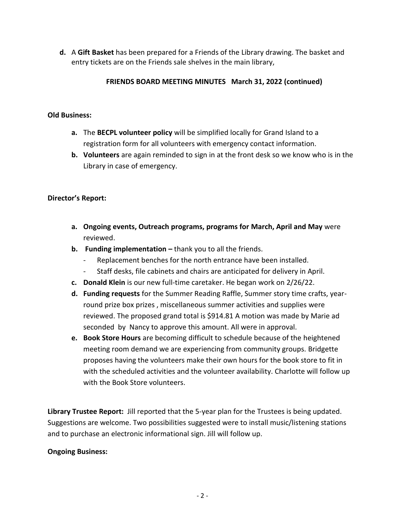**d.** A **Gift Basket** has been prepared for a Friends of the Library drawing. The basket and entry tickets are on the Friends sale shelves in the main library,

### **FRIENDS BOARD MEETING MINUTES March 31, 2022 (continued)**

#### **Old Business:**

- **a.** The **BECPL volunteer policy** will be simplified locally for Grand Island to a registration form for all volunteers with emergency contact information.
- **b. Volunteers** are again reminded to sign in at the front desk so we know who is in the Library in case of emergency.

### **Director's Report:**

- **a. Ongoing events, Outreach programs, programs for March, April and May** were reviewed.
- **b. Funding implementation –** thank you to all the friends.
	- Replacement benches for the north entrance have been installed.
	- Staff desks, file cabinets and chairs are anticipated for delivery in April.
- **c. Donald Klein** is our new full-time caretaker. He began work on 2/26/22.
- **d. Funding requests** for the Summer Reading Raffle, Summer story time crafts, yearround prize box prizes , miscellaneous summer activities and supplies were reviewed. The proposed grand total is \$914.81 A motion was made by Marie ad seconded by Nancy to approve this amount. All were in approval.
- **e. Book Store Hours** are becoming difficult to schedule because of the heightened meeting room demand we are experiencing from community groups. Bridgette proposes having the volunteers make their own hours for the book store to fit in with the scheduled activities and the volunteer availability. Charlotte will follow up with the Book Store volunteers.

**Library Trustee Report:** Jill reported that the 5-year plan for the Trustees is being updated. Suggestions are welcome. Two possibilities suggested were to install music/listening stations and to purchase an electronic informational sign. Jill will follow up.

### **Ongoing Business:**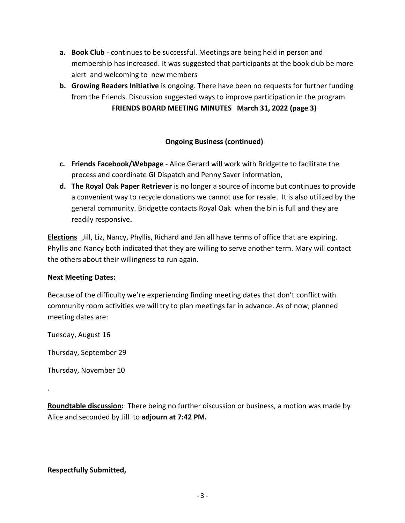- **a. Book Club** continues to be successful. Meetings are being held in person and membership has increased. It was suggested that participants at the book club be more alert and welcoming to new members
- **b. Growing Readers Initiative** is ongoing. There have been no requests for further funding from the Friends. Discussion suggested ways to improve participation in the program.

**FRIENDS BOARD MEETING MINUTES March 31, 2022 (page 3)**

### **Ongoing Business (continued)**

- **c. Friends Facebook/Webpage** Alice Gerard will work with Bridgette to facilitate the process and coordinate GI Dispatch and Penny Saver information,
- **d. The Royal Oak Paper Retriever** is no longer a source of income but continues to provide a convenient way to recycle donations we cannot use for resale. It is also utilized by the general community. Bridgette contacts Royal Oak when the bin is full and they are readily responsive**.**

**Elections** Jill, Liz, Nancy, Phyllis, Richard and Jan all have terms of office that are expiring. Phyllis and Nancy both indicated that they are willing to serve another term. Mary will contact the others about their willingness to run again.

### **Next Meeting Dates:**

Because of the difficulty we're experiencing finding meeting dates that don't conflict with community room activities we will try to plan meetings far in advance. As of now, planned meeting dates are:

Tuesday, August 16

Thursday, September 29

Thursday, November 10

.

**Roundtable discussion:**: There being no further discussion or business, a motion was made by Alice and seconded by Jill to **adjourn at 7:42 PM.**

### **Respectfully Submitted,**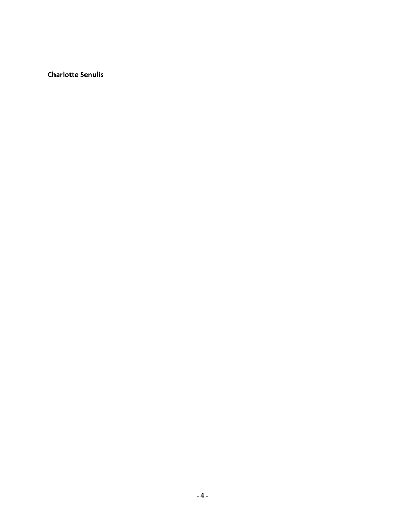**Charlotte Senulis**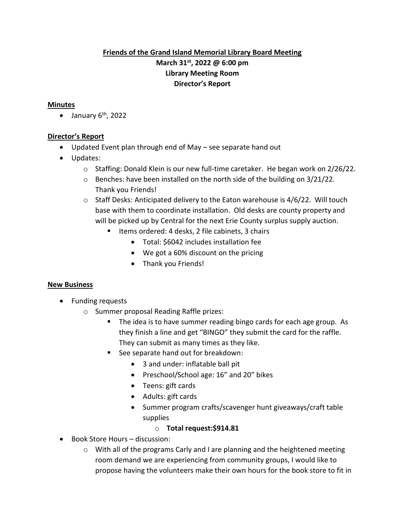## **Friends of the Grand Island Memorial Library Board Meeting March 31st, 2022 @ 6:00 pm Library Meeting Room Director's Report**

#### **Minutes**

 $\bullet$  January 6<sup>th</sup>, 2022

#### **Director's Report**

- Updated Event plan through end of May see separate hand out
- Updates:
	- $\circ$  Staffing: Donald Klein is our new full-time caretaker. He began work on 2/26/22.
	- $\circ$  Benches: have been installed on the north side of the building on 3/21/22. Thank you Friends!
	- $\circ$  Staff Desks: Anticipated delivery to the Eaton warehouse is 4/6/22. Will touch base with them to coordinate installation. Old desks are county property and will be picked up by Central for the next Erie County surplus supply auction.
		- Items ordered: 4 desks, 2 file cabinets, 3 chairs
			- Total: \$6042 includes installation fee
			- We got a 60% discount on the pricing
			- Thank you Friends!

### **New Business**

- Funding requests
	- o Summer proposal Reading Raffle prizes:
		- The idea is to have summer reading bingo cards for each age group. As they finish a line and get "BINGO" they submit the card for the raffle. They can submit as many times as they like.
		- See separate hand out for breakdown:
			- 3 and under: inflatable ball pit
			- Preschool/School age: 16" and 20" bikes
			- Teens: gift cards
			- Adults: gift cards
			- Summer program crafts/scavenger hunt giveaways/craft table supplies
				- o **Total request:\$914.81**
- Book Store Hours discussion:
	- o With all of the programs Carly and I are planning and the heightened meeting room demand we are experiencing from community groups, I would like to propose having the volunteers make their own hours for the book store to fit in